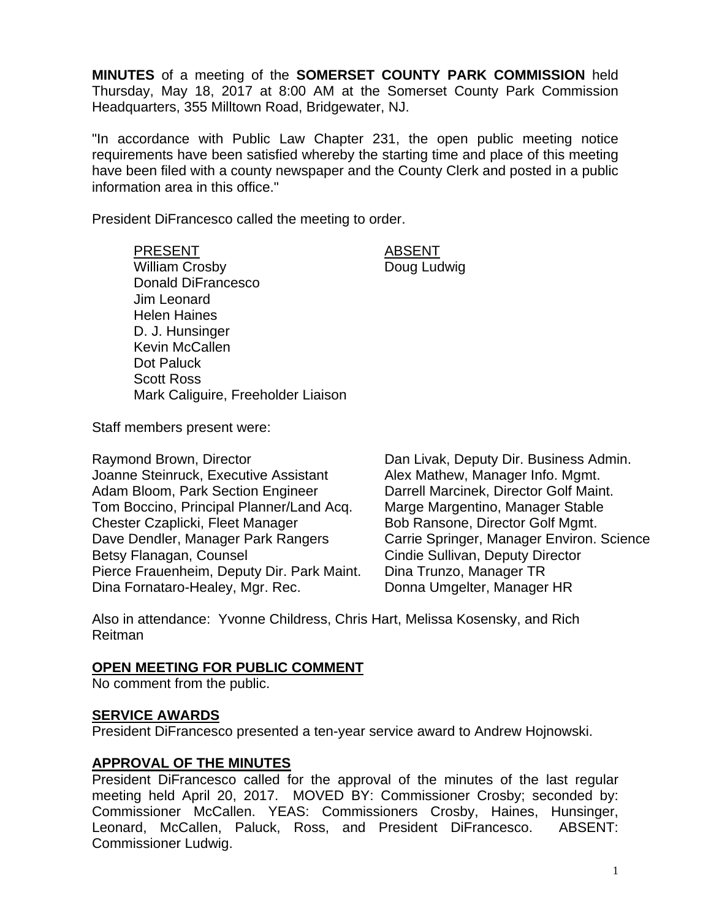**MINUTES** of a meeting of the **SOMERSET COUNTY PARK COMMISSION** held Thursday, May 18, 2017 at 8:00 AM at the Somerset County Park Commission Headquarters, 355 Milltown Road, Bridgewater, NJ.

"In accordance with Public Law Chapter 231, the open public meeting notice requirements have been satisfied whereby the starting time and place of this meeting have been filed with a county newspaper and the County Clerk and posted in a public information area in this office."

President DiFrancesco called the meeting to order.

PRESENT ABSENT William Crosby **Doug Ludwig** Donald DiFrancesco Jim Leonard Helen Haines D. J. Hunsinger Kevin McCallen Dot Paluck Scott Ross Mark Caliguire, Freeholder Liaison

Staff members present were:

Raymond Brown, Director **Dan Livak, Deputy Dir. Business Admin.** Joanne Steinruck, Executive Assistant Alex Mathew, Manager Info. Mgmt. Adam Bloom, Park Section Engineer Darrell Marcinek, Director Golf Maint. Tom Boccino, Principal Planner/Land Acq. Marge Margentino, Manager Stable Chester Czaplicki, Fleet Manager Bob Ransone, Director Golf Mgmt. Dave Dendler, Manager Park Rangers Carrie Springer, Manager Environ. Science Betsy Flanagan, Counsel **Counsel Cindie Sullivan, Deputy Director** Pierce Frauenheim, Deputy Dir. Park Maint. Dina Trunzo, Manager TR Dina Fornataro-Healey, Mgr. Rec. Donna Umgelter, Manager HR

Also in attendance: Yvonne Childress, Chris Hart, Melissa Kosensky, and Rich Reitman

#### **OPEN MEETING FOR PUBLIC COMMENT**

No comment from the public.

#### **SERVICE AWARDS**

President DiFrancesco presented a ten-year service award to Andrew Hojnowski.

### **APPROVAL OF THE MINUTES**

President DiFrancesco called for the approval of the minutes of the last regular meeting held April 20, 2017. MOVED BY: Commissioner Crosby; seconded by: Commissioner McCallen. YEAS: Commissioners Crosby, Haines, Hunsinger, Leonard, McCallen, Paluck, Ross, and President DiFrancesco. ABSENT: Commissioner Ludwig.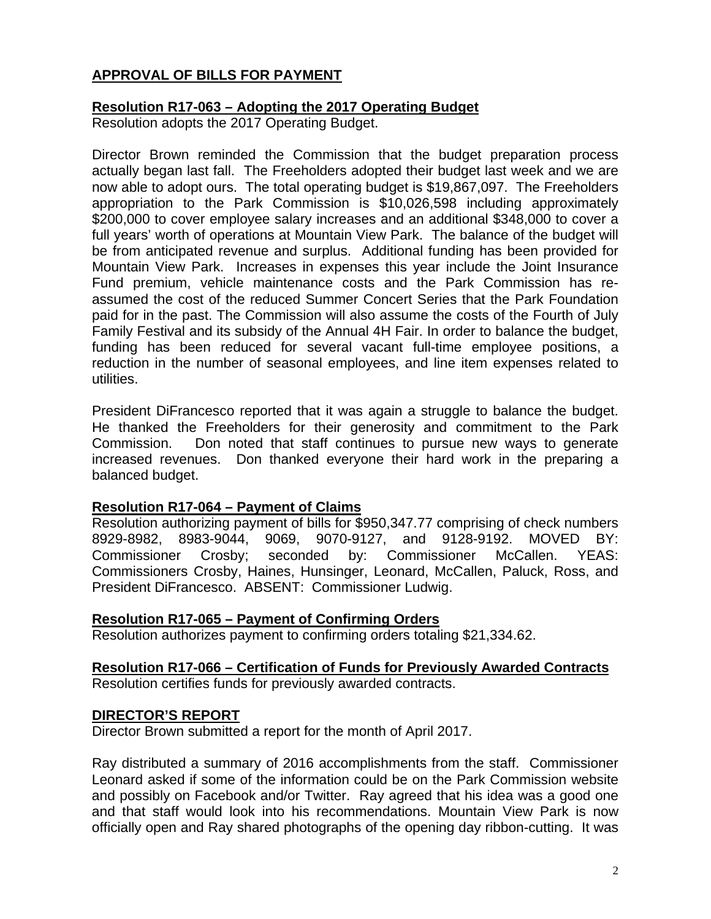# **APPROVAL OF BILLS FOR PAYMENT**

### **Resolution R17-063 – Adopting the 2017 Operating Budget**

Resolution adopts the 2017 Operating Budget.

Director Brown reminded the Commission that the budget preparation process actually began last fall. The Freeholders adopted their budget last week and we are now able to adopt ours. The total operating budget is \$19,867,097. The Freeholders appropriation to the Park Commission is \$10,026,598 including approximately \$200,000 to cover employee salary increases and an additional \$348,000 to cover a full years' worth of operations at Mountain View Park. The balance of the budget will be from anticipated revenue and surplus. Additional funding has been provided for Mountain View Park. Increases in expenses this year include the Joint Insurance Fund premium, vehicle maintenance costs and the Park Commission has reassumed the cost of the reduced Summer Concert Series that the Park Foundation paid for in the past. The Commission will also assume the costs of the Fourth of July Family Festival and its subsidy of the Annual 4H Fair. In order to balance the budget, funding has been reduced for several vacant full-time employee positions, a reduction in the number of seasonal employees, and line item expenses related to utilities.

President DiFrancesco reported that it was again a struggle to balance the budget. He thanked the Freeholders for their generosity and commitment to the Park Commission. Don noted that staff continues to pursue new ways to generate increased revenues. Don thanked everyone their hard work in the preparing a balanced budget.

### **Resolution R17-064 – Payment of Claims**

Resolution authorizing payment of bills for \$950,347.77 comprising of check numbers 8929-8982, 8983-9044, 9069, 9070-9127, and 9128-9192. MOVED BY: Commissioner Crosby; seconded by: Commissioner McCallen. YEAS: Commissioners Crosby, Haines, Hunsinger, Leonard, McCallen, Paluck, Ross, and President DiFrancesco. ABSENT: Commissioner Ludwig.

### **Resolution R17-065 – Payment of Confirming Orders**

Resolution authorizes payment to confirming orders totaling \$21,334.62.

# **Resolution R17-066 – Certification of Funds for Previously Awarded Contracts**

Resolution certifies funds for previously awarded contracts.

### **DIRECTOR'S REPORT**

Director Brown submitted a report for the month of April 2017.

Ray distributed a summary of 2016 accomplishments from the staff. Commissioner Leonard asked if some of the information could be on the Park Commission website and possibly on Facebook and/or Twitter. Ray agreed that his idea was a good one and that staff would look into his recommendations. Mountain View Park is now officially open and Ray shared photographs of the opening day ribbon-cutting. It was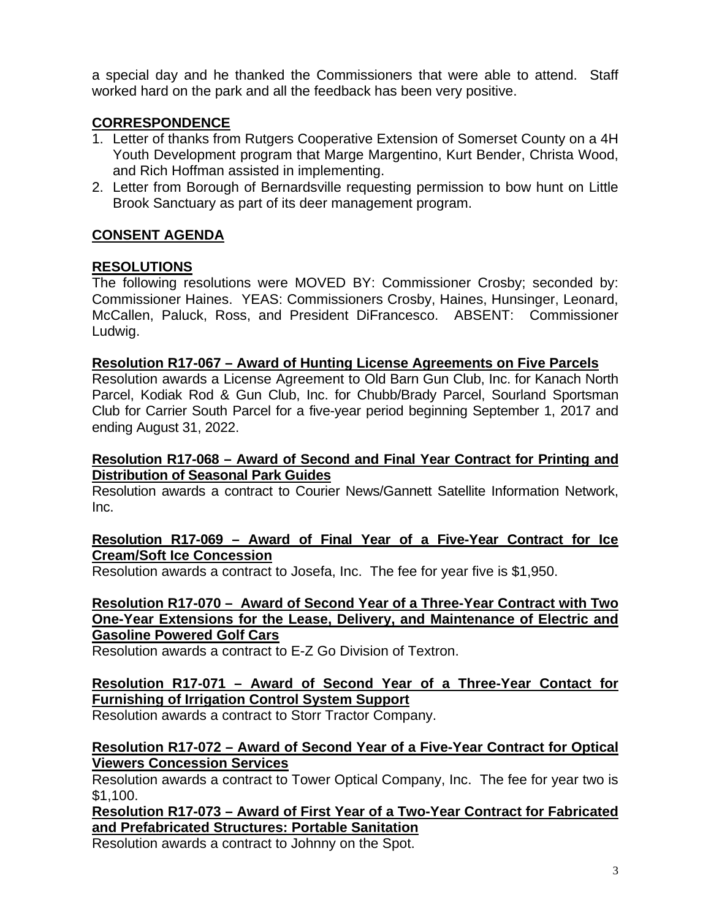a special day and he thanked the Commissioners that were able to attend. Staff worked hard on the park and all the feedback has been very positive.

# **CORRESPONDENCE**

- 1. Letter of thanks from Rutgers Cooperative Extension of Somerset County on a 4H Youth Development program that Marge Margentino, Kurt Bender, Christa Wood, and Rich Hoffman assisted in implementing.
- 2. Letter from Borough of Bernardsville requesting permission to bow hunt on Little Brook Sanctuary as part of its deer management program.

# **CONSENT AGENDA**

# **RESOLUTIONS**

The following resolutions were MOVED BY: Commissioner Crosby; seconded by: Commissioner Haines. YEAS: Commissioners Crosby, Haines, Hunsinger, Leonard, McCallen, Paluck, Ross, and President DiFrancesco. ABSENT: Commissioner Ludwig.

### **Resolution R17-067 – Award of Hunting License Agreements on Five Parcels**

Resolution awards a License Agreement to Old Barn Gun Club, Inc. for Kanach North Parcel, Kodiak Rod & Gun Club, Inc. for Chubb/Brady Parcel, Sourland Sportsman Club for Carrier South Parcel for a five-year period beginning September 1, 2017 and ending August 31, 2022.

## **Resolution R17-068 – Award of Second and Final Year Contract for Printing and Distribution of Seasonal Park Guides**

Resolution awards a contract to Courier News/Gannett Satellite Information Network, Inc.

## **Resolution R17-069 – Award of Final Year of a Five-Year Contract for Ice Cream/Soft Ice Concession**

Resolution awards a contract to Josefa, Inc. The fee for year five is \$1,950.

# **Resolution R17-070 – Award of Second Year of a Three-Year Contract with Two One-Year Extensions for the Lease, Delivery, and Maintenance of Electric and Gasoline Powered Golf Cars**

Resolution awards a contract to E-Z Go Division of Textron.

## **Resolution R17-071 – Award of Second Year of a Three-Year Contact for Furnishing of Irrigation Control System Support**

Resolution awards a contract to Storr Tractor Company.

## **Resolution R17-072 – Award of Second Year of a Five-Year Contract for Optical Viewers Concession Services**

Resolution awards a contract to Tower Optical Company, Inc. The fee for year two is \$1,100.

**Resolution R17-073 – Award of First Year of a Two-Year Contract for Fabricated and Prefabricated Structures: Portable Sanitation** 

Resolution awards a contract to Johnny on the Spot.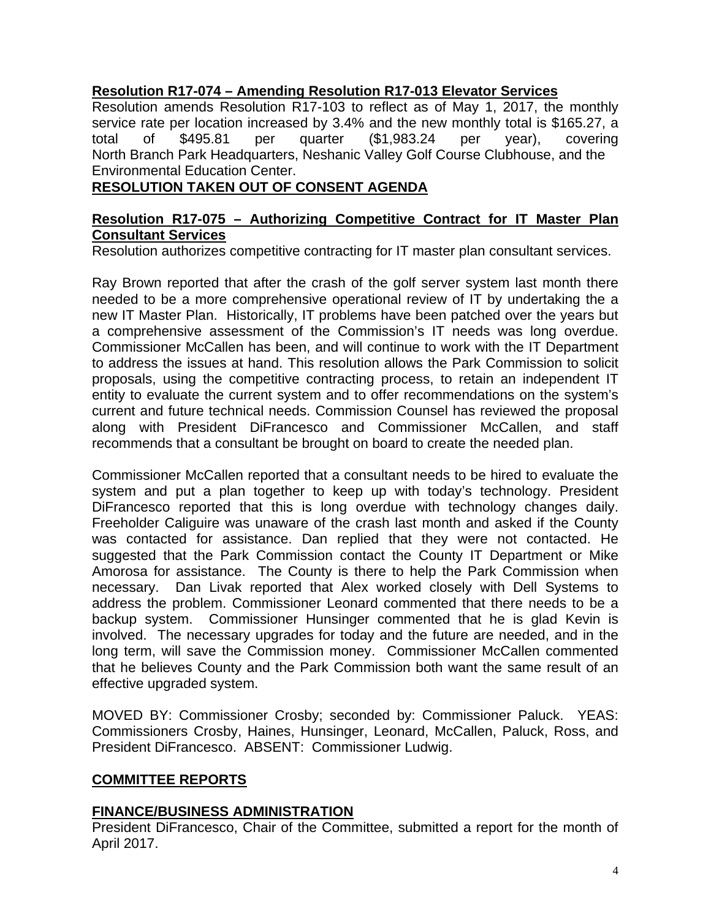# **Resolution R17-074 – Amending Resolution R17-013 Elevator Services**

Resolution amends Resolution R17-103 to reflect as of May 1, 2017, the monthly service rate per location increased by 3.4% and the new monthly total is \$165.27, a total of \$495.81 per quarter (\$1,983.24 per year), covering North Branch Park Headquarters, Neshanic Valley Golf Course Clubhouse, and the Environmental Education Center.

# **RESOLUTION TAKEN OUT OF CONSENT AGENDA**

# **Resolution R17-075 – Authorizing Competitive Contract for IT Master Plan Consultant Services**

Resolution authorizes competitive contracting for IT master plan consultant services.

Ray Brown reported that after the crash of the golf server system last month there needed to be a more comprehensive operational review of IT by undertaking the a new IT Master Plan. Historically, IT problems have been patched over the years but a comprehensive assessment of the Commission's IT needs was long overdue. Commissioner McCallen has been, and will continue to work with the IT Department to address the issues at hand. This resolution allows the Park Commission to solicit proposals, using the competitive contracting process, to retain an independent IT entity to evaluate the current system and to offer recommendations on the system's current and future technical needs. Commission Counsel has reviewed the proposal along with President DiFrancesco and Commissioner McCallen, and staff recommends that a consultant be brought on board to create the needed plan.

Commissioner McCallen reported that a consultant needs to be hired to evaluate the system and put a plan together to keep up with today's technology. President DiFrancesco reported that this is long overdue with technology changes daily. Freeholder Caliguire was unaware of the crash last month and asked if the County was contacted for assistance. Dan replied that they were not contacted. He suggested that the Park Commission contact the County IT Department or Mike Amorosa for assistance. The County is there to help the Park Commission when necessary. Dan Livak reported that Alex worked closely with Dell Systems to address the problem. Commissioner Leonard commented that there needs to be a backup system. Commissioner Hunsinger commented that he is glad Kevin is involved. The necessary upgrades for today and the future are needed, and in the long term, will save the Commission money. Commissioner McCallen commented that he believes County and the Park Commission both want the same result of an effective upgraded system.

MOVED BY: Commissioner Crosby; seconded by: Commissioner Paluck. YEAS: Commissioners Crosby, Haines, Hunsinger, Leonard, McCallen, Paluck, Ross, and President DiFrancesco. ABSENT: Commissioner Ludwig.

# **COMMITTEE REPORTS**

### **FINANCE/BUSINESS ADMINISTRATION**

President DiFrancesco, Chair of the Committee, submitted a report for the month of April 2017.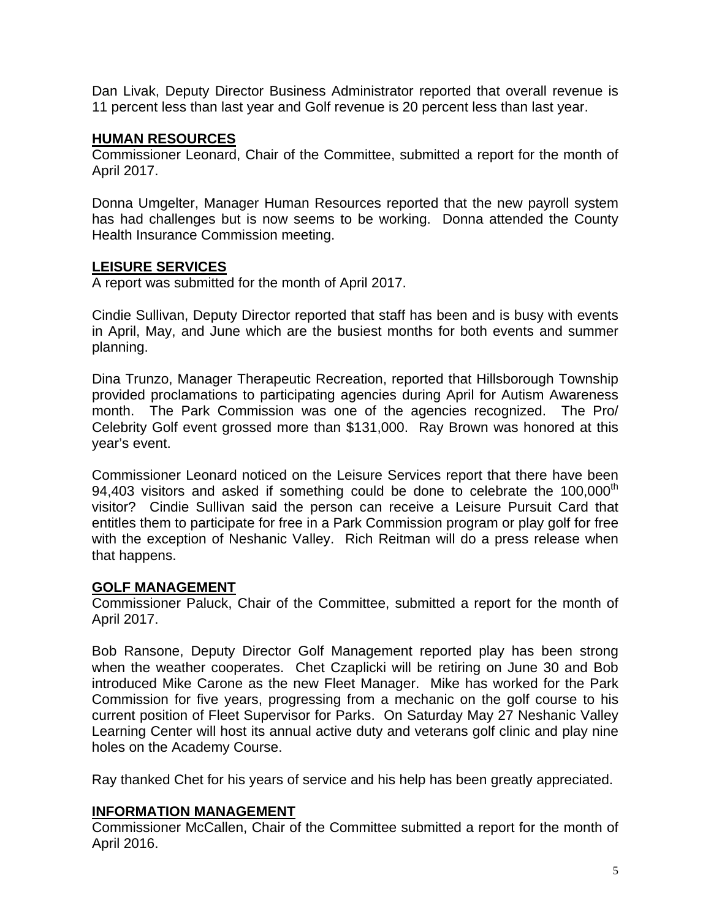Dan Livak, Deputy Director Business Administrator reported that overall revenue is 11 percent less than last year and Golf revenue is 20 percent less than last year.

### **HUMAN RESOURCES**

Commissioner Leonard, Chair of the Committee, submitted a report for the month of April 2017.

Donna Umgelter, Manager Human Resources reported that the new payroll system has had challenges but is now seems to be working. Donna attended the County Health Insurance Commission meeting.

# **LEISURE SERVICES**

A report was submitted for the month of April 2017.

Cindie Sullivan, Deputy Director reported that staff has been and is busy with events in April, May, and June which are the busiest months for both events and summer planning.

Dina Trunzo, Manager Therapeutic Recreation, reported that Hillsborough Township provided proclamations to participating agencies during April for Autism Awareness month. The Park Commission was one of the agencies recognized. The Pro/ Celebrity Golf event grossed more than \$131,000. Ray Brown was honored at this year's event.

Commissioner Leonard noticed on the Leisure Services report that there have been 94,403 visitors and asked if something could be done to celebrate the  $100,000<sup>th</sup>$ visitor? Cindie Sullivan said the person can receive a Leisure Pursuit Card that entitles them to participate for free in a Park Commission program or play golf for free with the exception of Neshanic Valley. Rich Reitman will do a press release when that happens.

# **GOLF MANAGEMENT**

Commissioner Paluck, Chair of the Committee, submitted a report for the month of April 2017.

Bob Ransone, Deputy Director Golf Management reported play has been strong when the weather cooperates. Chet Czaplicki will be retiring on June 30 and Bob introduced Mike Carone as the new Fleet Manager. Mike has worked for the Park Commission for five years, progressing from a mechanic on the golf course to his current position of Fleet Supervisor for Parks. On Saturday May 27 Neshanic Valley Learning Center will host its annual active duty and veterans golf clinic and play nine holes on the Academy Course.

Ray thanked Chet for his years of service and his help has been greatly appreciated.

### **INFORMATION MANAGEMENT**

Commissioner McCallen, Chair of the Committee submitted a report for the month of April 2016.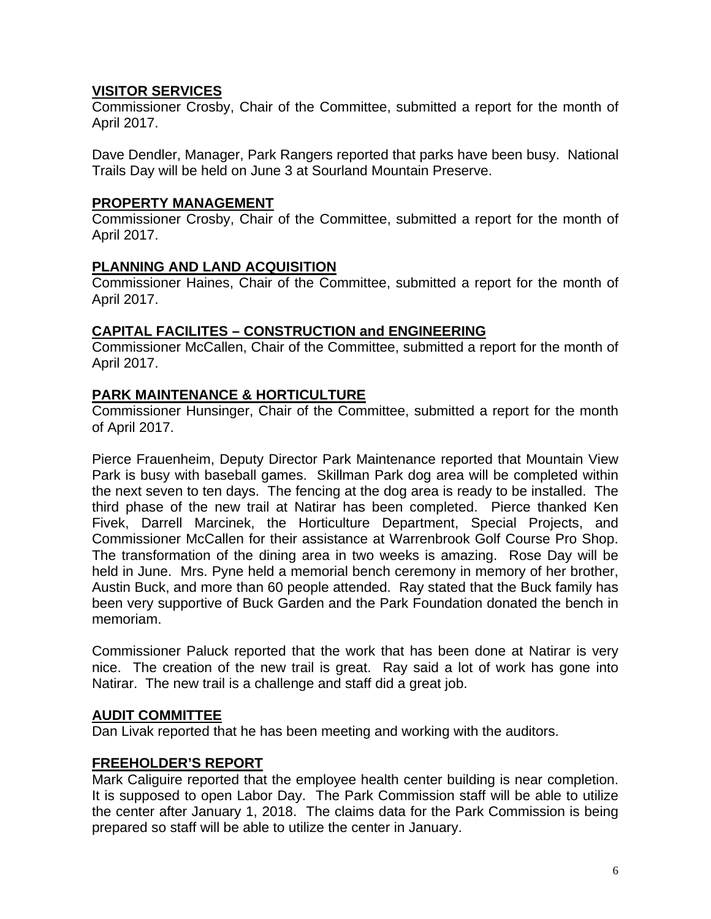# **VISITOR SERVICES**

Commissioner Crosby, Chair of the Committee, submitted a report for the month of April 2017.

Dave Dendler, Manager, Park Rangers reported that parks have been busy. National Trails Day will be held on June 3 at Sourland Mountain Preserve.

### **PROPERTY MANAGEMENT**

Commissioner Crosby, Chair of the Committee, submitted a report for the month of April 2017.

## **PLANNING AND LAND ACQUISITION**

Commissioner Haines, Chair of the Committee, submitted a report for the month of April 2017.

### **CAPITAL FACILITES – CONSTRUCTION and ENGINEERING**

Commissioner McCallen, Chair of the Committee, submitted a report for the month of April 2017.

## **PARK MAINTENANCE & HORTICULTURE**

Commissioner Hunsinger, Chair of the Committee, submitted a report for the month of April 2017.

Pierce Frauenheim, Deputy Director Park Maintenance reported that Mountain View Park is busy with baseball games. Skillman Park dog area will be completed within the next seven to ten days. The fencing at the dog area is ready to be installed. The third phase of the new trail at Natirar has been completed. Pierce thanked Ken Fivek, Darrell Marcinek, the Horticulture Department, Special Projects, and Commissioner McCallen for their assistance at Warrenbrook Golf Course Pro Shop. The transformation of the dining area in two weeks is amazing. Rose Day will be held in June. Mrs. Pyne held a memorial bench ceremony in memory of her brother, Austin Buck, and more than 60 people attended. Ray stated that the Buck family has been very supportive of Buck Garden and the Park Foundation donated the bench in memoriam.

Commissioner Paluck reported that the work that has been done at Natirar is very nice. The creation of the new trail is great. Ray said a lot of work has gone into Natirar. The new trail is a challenge and staff did a great job.

### **AUDIT COMMITTEE**

Dan Livak reported that he has been meeting and working with the auditors.

### **FREEHOLDER'S REPORT**

Mark Caliguire reported that the employee health center building is near completion. It is supposed to open Labor Day. The Park Commission staff will be able to utilize the center after January 1, 2018. The claims data for the Park Commission is being prepared so staff will be able to utilize the center in January.